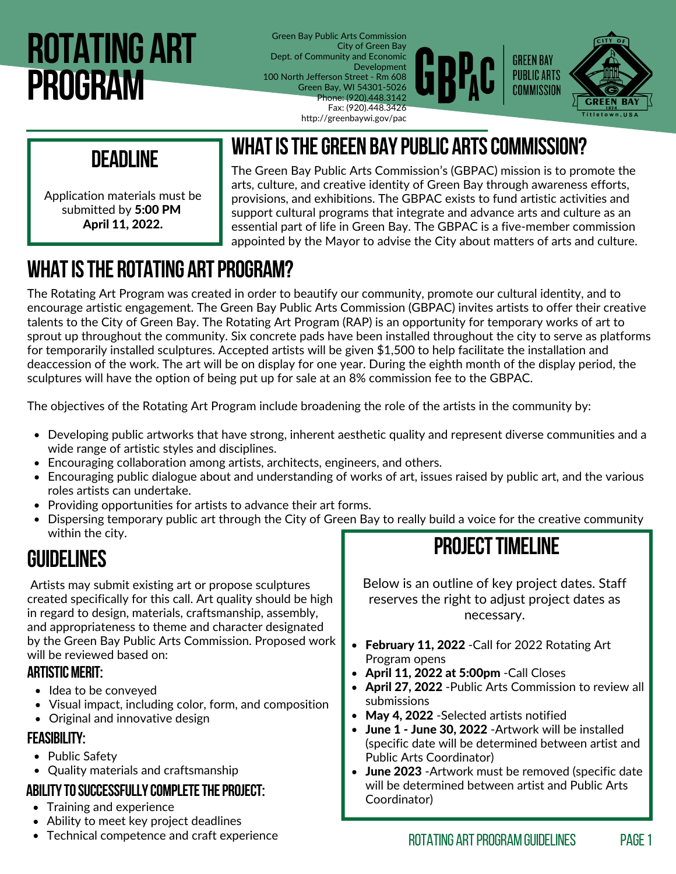# **Rotating art program**

Green Bay Public Arts Commission City of Green Bay Dept. of Community and Economic Development 100 North Jefferson Street - Rm 608 Green Bay, WI 54301-5026 Phone: (920).448.3142 Fax: (920).448.3426 http://greenbaywi.gov/pac



### **deadline**

Application materials must be submitted by 5:00 PM April 11, 2022.

The Green Bay Public Arts Commission's (GBPAC) mission is to promote the arts, culture, and creative identity of Green Bay through awareness efforts, provisions, and exhibitions. The GBPAC exists to fund artistic activities and support cultural programs that integrate and advance arts and culture as an essential part of life in Green Bay. The GBPAC is a five-member commission appointed by the Mayor to advise the City about matters of arts and culture.

**whatisthegreen baypublic artscommission?**

### **WHAT IS THE ROTATING ART PROGRAM?**

The Rotating Art Program was created in order to beautify our community, promote our cultural identity, and to encourage artistic engagement. The Green Bay Public Arts Commission (GBPAC) invites artists to offer their creative talents to the City of Green Bay. The Rotating Art Program (RAP) is an opportunity for temporary works of art to sprout up throughout the community. Six concrete pads have been installed throughout the city to serve as platforms for temporarily installed sculptures. Accepted artists will be given \$1,500 to help facilitate the installation and deaccession of the work. The art will be on display for one year. During the eighth month of the display period, the sculptures will have the option of being put up for sale at an 8% commission fee to the GBPAC.

The objectives of the Rotating Art Program include broadening the role of the artists in the community by:

- Developing public artworks that have strong, inherent aesthetic quality and represent diverse communities and a wide range of artistic styles and disciplines.
- Encouraging collaboration among artists, architects, engineers, and others.
- Encouraging public dialogue about and understanding of works of art, issues raised by public art, and the various roles artists can undertake.
- Providing opportunities for artists to advance their art forms.
- Dispersing temporary public art through the City of Green Bay to really build a voice for the creative community within the city.

#### **Guidelines**

Artists may submit existing art or propose sculptures created specifically for this call. Art quality should be high in regard to design, materials, craftsmanship, assembly, and appropriateness to theme and character designated by the Green Bay Public Arts Commission. Proposed work will be reviewed based on:

#### **ARTISTIC MERIT:**

- Idea to be conveved
- Visual impact, including color, form, and composition
- Original and innovative design

#### **feasibility:**

- Public Safety
- Quality materials and craftsmanship

#### **ABILITYTOSUCCESSFULLYCOMPLETETHEPROJECT:**

- Training and experience
- Ability to meet key project deadlines
- Technical competence and craft experience

### **PROJECT TIMELINE**

Below is an outline of key project dates. Staff reserves the right to adjust project dates as necessary.

- February 11, 2022 Call for 2022 Rotating Art Program opens
- April 11, 2022 at 5:00pm Call Closes
- April 27, 2022 Public Arts Commission to review all submissions
- May 4, 2022 Selected artists notified
- June 1 June 30, 2022 Artwork will be installed (specific date will be determined between artist and Public Arts Coordinator)
- June 2023 Artwork must be removed (specific date will be determined between artist and Public Arts Coordinator)